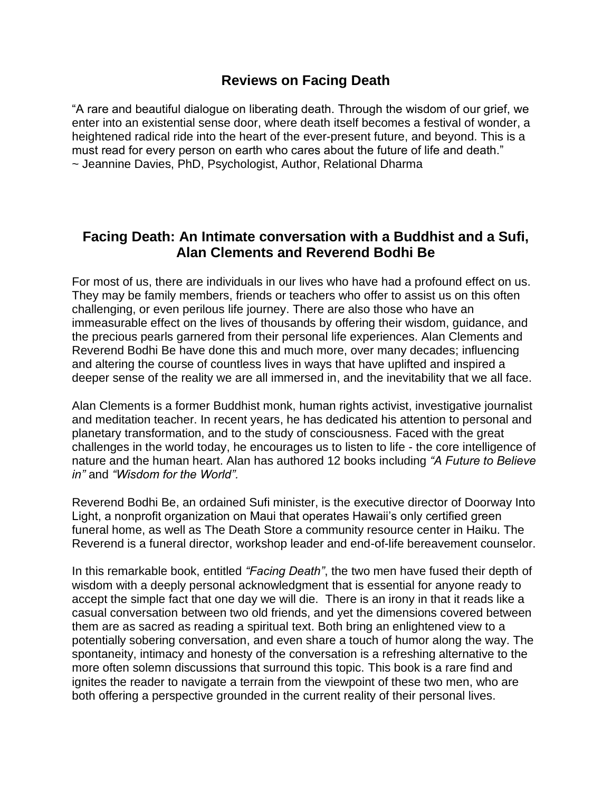## **Reviews on Facing Death**

"A rare and beautiful dialogue on liberating death. Through the wisdom of our grief, we enter into an existential sense door, where death itself becomes a festival of wonder, a heightened radical ride into the heart of the ever-present future, and beyond. This is a must read for every person on earth who cares about the future of life and death." ~ Jeannine Davies, PhD, Psychologist, Author, Relational Dharma

## **Facing Death: An Intimate conversation with a Buddhist and a Sufi, Alan Clements and Reverend Bodhi Be**

For most of us, there are individuals in our lives who have had a profound effect on us. They may be family members, friends or teachers who offer to assist us on this often challenging, or even perilous life journey. There are also those who have an immeasurable effect on the lives of thousands by offering their wisdom, guidance, and the precious pearls garnered from their personal life experiences. Alan Clements and Reverend Bodhi Be have done this and much more, over many decades; influencing and altering the course of countless lives in ways that have uplifted and inspired a deeper sense of the reality we are all immersed in, and the inevitability that we all face.

Alan Clements is a former Buddhist monk, human rights activist, investigative journalist and meditation teacher. In recent years, he has dedicated his attention to personal and planetary transformation, and to the study of consciousness. Faced with the great challenges in the world today, he encourages us to listen to life - the core intelligence of nature and the human heart. Alan has authored 12 books including *"A Future to Believe in"* and *"Wisdom for the World".*

Reverend Bodhi Be, an ordained Sufi minister, is the executive director of Doorway Into Light, a nonprofit organization on Maui that operates Hawaii's only certified green funeral home, as well as The Death Store a community resource center in Haiku. The Reverend is a funeral director, workshop leader and end-of-life bereavement counselor.

In this remarkable book, entitled *"Facing Death"*, the two men have fused their depth of wisdom with a deeply personal acknowledgment that is essential for anyone ready to accept the simple fact that one day we will die. There is an irony in that it reads like a casual conversation between two old friends, and yet the dimensions covered between them are as sacred as reading a spiritual text. Both bring an enlightened view to a potentially sobering conversation, and even share a touch of humor along the way. The spontaneity, intimacy and honesty of the conversation is a refreshing alternative to the more often solemn discussions that surround this topic. This book is a rare find and ignites the reader to navigate a terrain from the viewpoint of these two men, who are both offering a perspective grounded in the current reality of their personal lives.